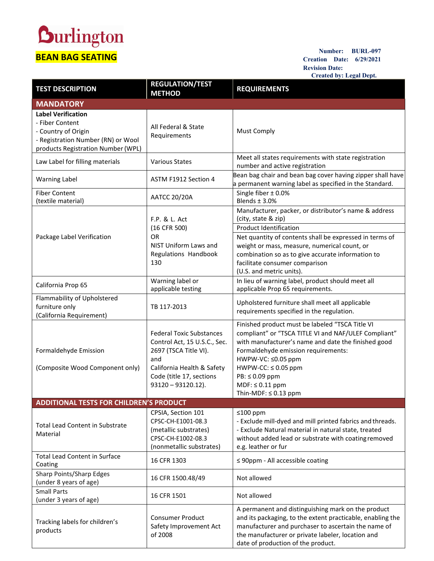## **Durlington BEAN BAG SEATING**

**Number: BURL-097 Creation Date: 6/29/2021 Revision Date: Created by: Legal Dept.**

| <b>TEST DESCRIPTION</b>                                                                                                                         | <b>REGULATION/TEST</b><br><b>METHOD</b>                                                                                                                                            | <b>REQUIREMENTS</b>                                                                                                                                                                                                                                                                                                            |
|-------------------------------------------------------------------------------------------------------------------------------------------------|------------------------------------------------------------------------------------------------------------------------------------------------------------------------------------|--------------------------------------------------------------------------------------------------------------------------------------------------------------------------------------------------------------------------------------------------------------------------------------------------------------------------------|
| <b>MANDATORY</b>                                                                                                                                |                                                                                                                                                                                    |                                                                                                                                                                                                                                                                                                                                |
| <b>Label Verification</b><br>- Fiber Content<br>- Country of Origin<br>- Registration Number (RN) or Wool<br>products Registration Number (WPL) | All Federal & State<br>Requirements                                                                                                                                                | <b>Must Comply</b>                                                                                                                                                                                                                                                                                                             |
| Law Label for filling materials                                                                                                                 | <b>Various States</b>                                                                                                                                                              | Meet all states requirements with state registration<br>number and active registration                                                                                                                                                                                                                                         |
| <b>Warning Label</b>                                                                                                                            | ASTM F1912 Section 4                                                                                                                                                               | Bean bag chair and bean bag cover having zipper shall have<br>a permanent warning label as specified in the Standard.                                                                                                                                                                                                          |
| <b>Fiber Content</b><br>(textile material)                                                                                                      | <b>AATCC 20/20A</b>                                                                                                                                                                | Single fiber $\pm$ 0.0%<br>Blends $±$ 3.0%                                                                                                                                                                                                                                                                                     |
|                                                                                                                                                 | F.P. & L. Act<br>(16 CFR 500)                                                                                                                                                      | Manufacturer, packer, or distributor's name & address<br>(city, state & zip)<br><b>Product Identification</b>                                                                                                                                                                                                                  |
| Package Label Verification                                                                                                                      | <b>OR</b><br>NIST Uniform Laws and<br>Regulations Handbook<br>130                                                                                                                  | Net quantity of contents shall be expressed in terms of<br>weight or mass, measure, numerical count, or<br>combination so as to give accurate information to<br>facilitate consumer comparison<br>(U.S. and metric units).                                                                                                     |
| California Prop 65                                                                                                                              | Warning label or<br>applicable testing                                                                                                                                             | In lieu of warning label, product should meet all<br>applicable Prop 65 requirements.                                                                                                                                                                                                                                          |
| Flammability of Upholstered<br>furniture only<br>(California Requirement)                                                                       | TB 117-2013                                                                                                                                                                        | Upholstered furniture shall meet all applicable<br>requirements specified in the regulation.                                                                                                                                                                                                                                   |
| Formaldehyde Emission<br>(Composite Wood Component only)                                                                                        | <b>Federal Toxic Substances</b><br>Control Act, 15 U.S.C., Sec.<br>2697 (TSCA Title VI).<br>and<br>California Health & Safety<br>Code (title 17, sections<br>$93120 - 93120.12$ ). | Finished product must be labeled "TSCA Title VI<br>compliant" or "TSCA TITLE VI and NAF/ULEF Compliant"<br>with manufacturer's name and date the finished good<br>Formaldehyde emission requirements:<br>HWPW-VC: ≤0.05 ppm<br>$HWPW-CC: \leq 0.05$ ppm<br>PB: ≤ 0.09 ppm<br>$MDF: \leq 0.11$ ppm<br>Thin-MDF: $\leq$ 0.13 ppm |
| <b>ADDITIONAL TESTS FOR CHILDREN'S PRODUCT</b>                                                                                                  |                                                                                                                                                                                    |                                                                                                                                                                                                                                                                                                                                |
| <b>Total Lead Content in Substrate</b><br>Material                                                                                              | CPSIA, Section 101<br>CPSC-CH-E1001-08.3<br>(metallic substrates)<br>CPSC-CH-E1002-08.3<br>(nonmetallic substrates)                                                                | $≤100$ ppm<br>- Exclude mill-dyed and mill printed fabrics and threads.<br>- Exclude Natural material in natural state, treated<br>without added lead or substrate with coating removed<br>e.g. leather or fur                                                                                                                 |
| <b>Total Lead Content in Surface</b><br>Coating                                                                                                 | 16 CFR 1303                                                                                                                                                                        | $\leq$ 90ppm - All accessible coating                                                                                                                                                                                                                                                                                          |
| Sharp Points/Sharp Edges<br>(under 8 years of age)                                                                                              | 16 CFR 1500.48/49                                                                                                                                                                  | Not allowed                                                                                                                                                                                                                                                                                                                    |
| <b>Small Parts</b><br>(under 3 years of age)                                                                                                    | 16 CFR 1501                                                                                                                                                                        | Not allowed                                                                                                                                                                                                                                                                                                                    |
| Tracking labels for children's<br>products                                                                                                      | <b>Consumer Product</b><br>Safety Improvement Act<br>of 2008                                                                                                                       | A permanent and distinguishing mark on the product<br>and its packaging, to the extent practicable, enabling the<br>manufacturer and purchaser to ascertain the name of<br>the manufacturer or private labeler, location and<br>date of production of the product.                                                             |